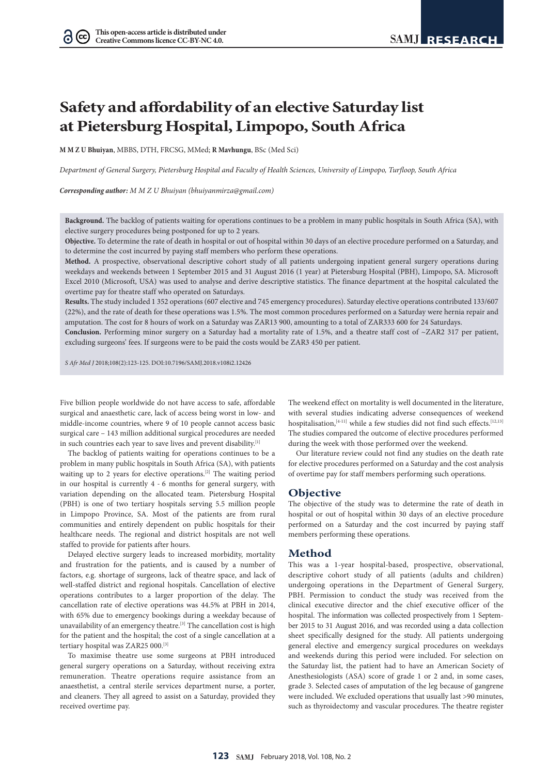# **Safety and affordability of an elective Saturday list at Pietersburg Hospital, Limpopo, South Africa**

**M M Z U Bhuiyan**, MBBS, DTH, FRCSG, MMed; **R Mavhungu**, BSc (Med Sci)

*Department of General Surgery, Pietersburg Hospital and Faculty of Health Sciences, University of Limpopo, Turfloop, South Africa* 

*Corresponding author: M M Z U Bhuiyan (bhuiyanmirza@gmail.com)*

**Background.** The backlog of patients waiting for operations continues to be a problem in many public hospitals in South Africa (SA), with elective surgery procedures being postponed for up to 2 years.

**Objective.** To determine the rate of death in hospital or out of hospital within 30 days of an elective procedure performed on a Saturday, and to determine the cost incurred by paying staff members who perform these operations.

**Method.** A prospective, observational descriptive cohort study of all patients undergoing inpatient general surgery operations during weekdays and weekends between 1 September 2015 and 31 August 2016 (1 year) at Pietersburg Hospital (PBH), Limpopo, SA. Microsoft Excel 2010 (Microsoft, USA) was used to analyse and derive descriptive statistics. The finance department at the hospital calculated the overtime pay for theatre staff who operated on Saturdays.

**Results.** The study included 1 352 operations (607 elective and 745 emergency procedures). Saturday elective operations contributed 133/607 (22%), and the rate of death for these operations was 1.5%. The most common procedures performed on a Saturday were hernia repair and amputation. The cost for 8 hours of work on a Saturday was ZAR13 900, amounting to a total of ZAR333 600 for 24 Saturdays.

**Conclusion.** Performing minor surgery on a Saturday had a mortality rate of 1.5%, and a theatre staff cost of ~ZAR2 317 per patient, excluding surgeons' fees. If surgeons were to be paid the costs would be ZAR3 450 per patient.

*S Afr Med J* 2018;108(2):123-125. DOI:10.7196/SAMJ.2018.v108i2.12426

Five billion people worldwide do not have access to safe, affordable surgical and anaesthetic care, lack of access being worst in low- and middle-income countries, where 9 of 10 people cannot access basic surgical care – 143 million additional surgical procedures are needed in such countries each year to save lives and prevent disability.<sup>[1]</sup>

The backlog of patients waiting for operations continues to be a problem in many public hospitals in South Africa (SA), with patients waiting up to 2 years for elective operations.<sup>[2]</sup> The waiting period in our hospital is currently 4 - 6 months for general surgery, with variation depending on the allocated team. Pietersburg Hospital (PBH) is one of two tertiary hospitals serving 5.5 million people in Limpopo Province, SA. Most of the patients are from rural communities and entirely dependent on public hospitals for their healthcare needs. The regional and district hospitals are not well staffed to provide for patients after hours.

Delayed elective surgery leads to increased morbidity, mortality and frustration for the patients, and is caused by a number of factors, e.g. shortage of surgeons, lack of theatre space, and lack of well-staffed district and regional hospitals. Cancellation of elective operations contributes to a larger proportion of the delay. The cancellation rate of elective operations was 44.5% at PBH in 2014, with 65% due to emergency bookings during a weekday because of unavailability of an emergency theatre.<sup>[3]</sup> The cancellation cost is high for the patient and the hospital; the cost of a single cancellation at a tertiary hospital was ZAR25 000.[3]

To maximise theatre use some surgeons at PBH introduced general surgery operations on a Saturday, without receiving extra remuneration. Theatre operations require assistance from an anaesthetist, a central sterile services department nurse, a porter, and cleaners. They all agreed to assist on a Saturday, provided they received overtime pay.

The weekend effect on mortality is well documented in the literature, with several studies indicating adverse consequences of weekend hospitalisation, $[4-11]$  while a few studies did not find such effects.<sup>[12,13]</sup> The studies compared the outcome of elective procedures performed during the week with those performed over the weekend.

Our literature review could not find any studies on the death rate for elective procedures performed on a Saturday and the cost analysis of overtime pay for staff members performing such operations.

# **Objective**

The objective of the study was to determine the rate of death in hospital or out of hospital within 30 days of an elective procedure performed on a Saturday and the cost incurred by paying staff members performing these operations.

## **Method**

This was a 1-year hospital-based, prospective, observational, descriptive cohort study of all patients (adults and children) undergoing operations in the Department of General Surgery, PBH. Permission to conduct the study was received from the clinical executive director and the chief executive officer of the hospital. The information was collected prospectively from 1 September 2015 to 31 August 2016, and was recorded using a data collection sheet specifically designed for the study. All patients undergoing general elective and emergency surgical procedures on weekdays and weekends during this period were included. For selection on the Saturday list, the patient had to have an American Society of Anesthesiologists (ASA) score of grade 1 or 2 and, in some cases, grade 3. Selected cases of amputation of the leg because of gangrene were included. We excluded operations that usually last >90 minutes, such as thyroidectomy and vascular procedures. The theatre register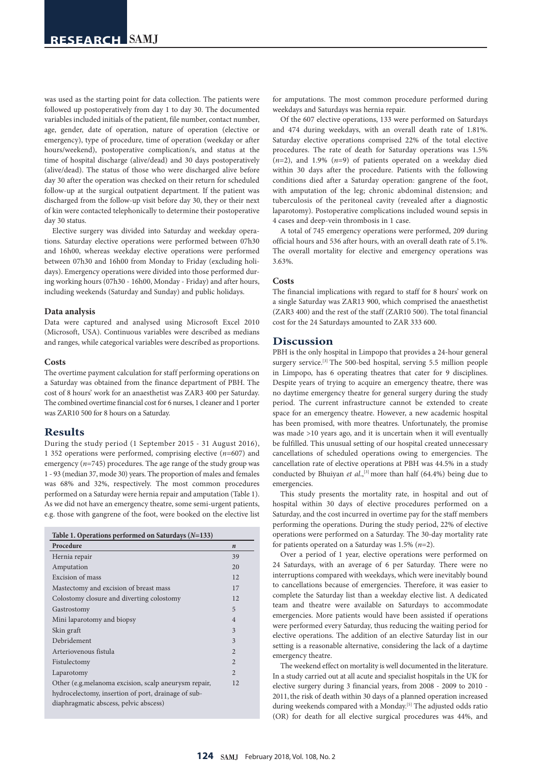was used as the starting point for data collection. The patients were followed up postoperatively from day 1 to day 30. The documented variables included initials of the patient, file number, contact number, age, gender, date of operation, nature of operation (elective or emergency), type of procedure, time of operation (weekday or after hours/weekend), postoperative complication/s, and status at the time of hospital discharge (alive/dead) and 30 days postoperatively (alive/dead). The status of those who were discharged alive before day 30 after the operation was checked on their return for scheduled follow-up at the surgical outpatient department. If the patient was discharged from the follow-up visit before day 30, they or their next of kin were contacted telephonically to determine their postoperative day 30 status.

Elective surgery was divided into Saturday and weekday operations. Saturday elective operations were performed between 07h30 and 16h00, whereas weekday elective operations were performed between 07h30 and 16h00 from Monday to Friday (excluding holidays). Emergency operations were divided into those performed during working hours (07h30 - 16h00, Monday - Friday) and after hours, including weekends (Saturday and Sunday) and public holidays.

#### **Data analysis**

Data were captured and analysed using Microsoft Excel 2010 (Microsoft, USA). Continuous variables were described as medians and ranges, while categorical variables were described as proportions.

#### **Costs**

The overtime payment calculation for staff performing operations on a Saturday was obtained from the finance department of PBH. The cost of 8 hours' work for an anaesthetist was ZAR3 400 per Saturday. The combined overtime financial cost for 6 nurses, 1 cleaner and 1 porter was ZAR10 500 for 8 hours on a Saturday.

## **Results**

During the study period (1 September 2015 - 31 August 2016), 1 352 operations were performed, comprising elective (*n*=607) and emergency (*n*=745) procedures. The age range of the study group was 1 - 93 (median 37, mode 30) years. The proportion of males and females was 68% and 32%, respectively. The most common procedures performed on a Saturday were hernia repair and amputation (Table 1). As we did not have an emergency theatre, some semi-urgent patients, e.g. those with gangrene of the foot, were booked on the elective list

| Table 1. Operations performed on Saturdays $(N=133)$ |                  |
|------------------------------------------------------|------------------|
| Procedure                                            | $\boldsymbol{n}$ |
| Hernia repair                                        | 39               |
| Amputation                                           | 20               |
| Excision of mass                                     | 12               |
| Mastectomy and excision of breast mass               | 17               |
| Colostomy closure and diverting colostomy            | 12               |
| Gastrostomy                                          | 5                |
| Mini laparotomy and biopsy                           | $\overline{4}$   |
| Skin graft                                           | 3                |
| Debridement                                          | 3                |
| Arteriovenous fistula                                | $\overline{2}$   |
| Fistulectomy                                         | $\overline{2}$   |
| Laparotomy                                           | $\overline{2}$   |
| Other (e.g.melanoma excision, scalp aneurysm repair, | 12               |
| hydrocelectomy, insertion of port, drainage of sub-  |                  |
| diaphragmatic abscess, pelvic abscess)               |                  |

for amputations. The most common procedure performed during weekdays and Saturdays was hernia repair.

Of the 607 elective operations, 133 were performed on Saturdays and 474 during weekdays, with an overall death rate of 1.81%. Saturday elective operations comprised 22% of the total elective procedures. The rate of death for Saturday operations was 1.5% (*n*=2), and 1.9% (*n*=9) of patients operated on a weekday died within 30 days after the procedure. Patients with the following conditions died after a Saturday operation: gangrene of the foot, with amputation of the leg; chronic abdominal distension; and tuberculosis of the peritoneal cavity (revealed after a diagnostic laparotomy). Postoperative complications included wound sepsis in 4 cases and deep-vein thrombosis in 1 case.

A total of 745 emergency operations were performed, 209 during official hours and 536 after hours, with an overall death rate of 5.1%. The overall mortality for elective and emergency operations was 3.63%.

## **Costs**

The financial implications with regard to staff for 8 hours' work on a single Saturday was ZAR13 900, which comprised the anaesthetist (ZAR3 400) and the rest of the staff (ZAR10 500). The total financial cost for the 24 Saturdays amounted to ZAR 333 600.

## **Discussion**

PBH is the only hospital in Limpopo that provides a 24-hour general surgery service.[3] The 500-bed hospital, serving 5.5 million people in Limpopo, has 6 operating theatres that cater for 9 disciplines. Despite years of trying to acquire an emergency theatre, there was no daytime emergency theatre for general surgery during the study period. The current infrastructure cannot be extended to create space for an emergency theatre. However, a new academic hospital has been promised, with more theatres. Unfortunately, the promise was made >10 years ago, and it is uncertain when it will eventually be fulfilled. This unusual setting of our hospital created unnecessary cancellations of scheduled operations owing to emergencies. The cancellation rate of elective operations at PBH was 44.5% in a study conducted by Bhuiyan *et al.*,<sup>[3]</sup> more than half (64.4%) being due to emergencies.

This study presents the mortality rate, in hospital and out of hospital within 30 days of elective procedures performed on a Saturday, and the cost incurred in overtime pay for the staff members performing the operations. During the study period, 22% of elective operations were performed on a Saturday. The 30-day mortality rate for patients operated on a Saturday was 1.5% (*n*=2).

Over a period of 1 year, elective operations were performed on 24 Saturdays, with an average of 6 per Saturday. There were no interruptions compared with weekdays, which were inevitably bound to cancellations because of emergencies. Therefore, it was easier to complete the Saturday list than a weekday elective list. A dedicated team and theatre were available on Saturdays to accommodate emergencies. More patients would have been assisted if operations were performed every Saturday, thus reducing the waiting period for elective operations. The addition of an elective Saturday list in our setting is a reasonable alternative, considering the lack of a daytime emergency theatre.

The weekend effect on mortality is well documented in the literature. In a study carried out at all acute and specialist hospitals in the UK for elective surgery during 3 financial years, from 2008 - 2009 to 2010 - 2011, the risk of death within 30 days of a planned operation increased during weekends compared with a Monday.<sup>[5]</sup> The adjusted odds ratio (OR) for death for all elective surgical procedures was 44%, and